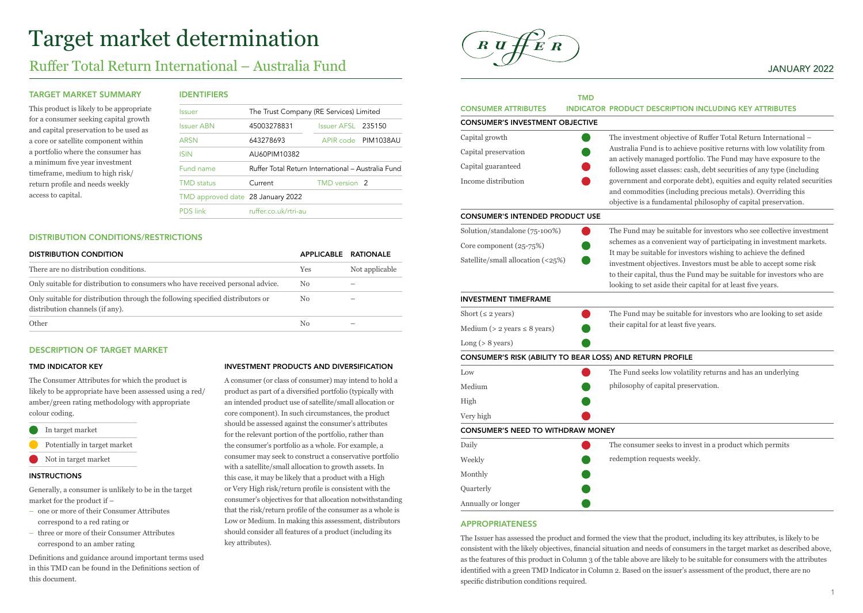# Target market determination

# Ruffer Total Return International – Australia Fund

#### TARGET MARKET SUMMARY

This product is likely to be appropriate for a consumer seeking capital growth and capital preservation to be used as a core or satellite component within a portfolio where the consumer has a minimum five year investment timeframe, medium to high risk/ return profile and needs weekly access to capital.

# IDENTIFIERS

| Issuer                            | The Trust Company (RE Services) Limited            |                          |                     |
|-----------------------------------|----------------------------------------------------|--------------------------|---------------------|
| <b>Issuer ABN</b>                 | 45003278831                                        | Issuer AFSL 235150       |                     |
| <b>ARSN</b>                       | 643278693                                          |                          | APIR code PIM1038AU |
| <b>ISIN</b>                       | AU60PIM10382                                       |                          |                     |
| Fund name                         | Ruffer Total Return International - Australia Fund |                          |                     |
| <b>TMD</b> status                 | Current                                            | TMD version <sub>2</sub> |                     |
| TMD approved date 28 January 2022 |                                                    |                          |                     |
| <b>PDS</b> link                   | ruffer couk/rtri-au                                |                          |                     |
|                                   |                                                    |                          |                     |

#### DISTRIBUTION CONDITIONS/RESTRICTIONS

| <b>DISTRIBUTION CONDITION</b>                                                                                     | APPLICABLE RATIONALE |                |
|-------------------------------------------------------------------------------------------------------------------|----------------------|----------------|
| There are no distribution conditions.                                                                             | Yes                  | Not applicable |
| Only suitable for distribution to consumers who have received personal advice.                                    | N <sub>0</sub>       | -              |
| Only suitable for distribution through the following specified distributors or<br>distribution channels (if any). | No                   |                |
| Other                                                                                                             | Nο                   |                |

### DESCRIPTION OF TARGET MARKET

#### TMD INDICATOR KEY

The Consumer Attributes for which the product is likely to be appropriate have been assessed using a red/ amber/green rating methodology with appropriate colour coding.

- In target market
- Potentially in target market
- Not in target market

#### INSTRUCTIONS

Generally, a consumer is unlikely to be in the target market for the product if –

- one or more of their Consumer Attributes correspond to a red rating or
- three or more of their Consumer Attributes correspond to an amber rating

Definitions and guidance around important terms used in this TMD can be found in the Definitions section of this document.

#### INVESTMENT PRODUCTS AND DIVERSIFICATION

A consumer (or class of consumer) may intend to hold a product as part of a diversified portfolio (typically with an intended product use of satellite/small allocation or core component). In such circumstances, the product should be assessed against the consumer's attributes for the relevant portion of the portfolio, rather than the consumer's portfolio as a whole. For example, a consumer may seek to construct a conservative portfolio with a satellite/small allocation to growth assets. In this case, it may be likely that a product with a High or Very High risk/return profile is consistent with the consumer's objectives for that allocation notwithstanding that the risk/return profile of the consumer as a whole is Low or Medium. In making this assessment, distributors should consider all features of a product (including its key attributes).



# JANUARY 2022

|                                                           | <b>TMD</b> |                                                                                                                                                                                                          |
|-----------------------------------------------------------|------------|----------------------------------------------------------------------------------------------------------------------------------------------------------------------------------------------------------|
| <b>CONSUMER ATTRIBUTES</b>                                |            | <b>INDICATOR PRODUCT DESCRIPTION INCLUDING KEY ATTRIBUTES</b>                                                                                                                                            |
| <b>CONSUMER'S INVESTMENT OBJECTIVE</b>                    |            |                                                                                                                                                                                                          |
| Capital growth                                            |            | The investment objective of Ruffer Total Return International -                                                                                                                                          |
| Capital preservation                                      |            | Australia Fund is to achieve positive returns with low volatility from                                                                                                                                   |
| Capital guaranteed                                        |            | an actively managed portfolio. The Fund may have exposure to the<br>following asset classes: cash, debt securities of any type (including                                                                |
| Income distribution                                       |            | government and corporate debt), equities and equity related securities<br>and commodities (including precious metals). Overriding this<br>objective is a fundamental philosophy of capital preservation. |
| <b>CONSUMER'S INTENDED PRODUCT USE</b>                    |            |                                                                                                                                                                                                          |
| Solution/standalone (75-100%)                             |            | The Fund may be suitable for investors who see collective investment                                                                                                                                     |
| Core component (25-75%)                                   |            | schemes as a convenient way of participating in investment markets.                                                                                                                                      |
| Satellite/small allocation (<25%)                         |            | It may be suitable for investors wishing to achieve the defined<br>investment objectives. Investors must be able to accept some risk                                                                     |
|                                                           |            | to their capital, thus the Fund may be suitable for investors who are                                                                                                                                    |
|                                                           |            | looking to set aside their capital for at least five years.                                                                                                                                              |
| <b>INVESTMENT TIMEFRAME</b>                               |            |                                                                                                                                                                                                          |
| Short ( $\leq$ 2 years)                                   |            | The Fund may be suitable for investors who are looking to set aside                                                                                                                                      |
| Medium ( $>$ 2 years $\leq$ 8 years)                      |            | their capital for at least five years.                                                                                                                                                                   |
| Long (> 8 years)                                          |            |                                                                                                                                                                                                          |
| CONSUMER'S RISK (ABILITY TO BEAR LOSS) AND RETURN PROFILE |            |                                                                                                                                                                                                          |
| Low                                                       |            | The Fund seeks low volatility returns and has an underlying                                                                                                                                              |
| Medium                                                    |            | philosophy of capital preservation.                                                                                                                                                                      |
| High                                                      |            |                                                                                                                                                                                                          |
| Very high                                                 |            |                                                                                                                                                                                                          |
| <b>CONSUMER'S NEED TO WITHDRAW MONEY</b>                  |            |                                                                                                                                                                                                          |
| Daily                                                     |            | The consumer seeks to invest in a product which permits                                                                                                                                                  |
| Weekly                                                    |            | redemption requests weekly.                                                                                                                                                                              |
| Monthly                                                   |            |                                                                                                                                                                                                          |
| Quarterly                                                 |            |                                                                                                                                                                                                          |
| Annually or longer                                        |            |                                                                                                                                                                                                          |

#### APPROPRIATENESS

The Issuer has assessed the product and formed the view that the product, including its key attributes, is likely to be consistent with the likely objectives, financial situation and needs of consumers in the target market as described above, as the features of this product in Column 3 of the table above are likely to be suitable for consumers with the attributes identified with a green TMD Indicator in Column 2. Based on the issuer's assessment of the product, there are no specific distribution conditions required.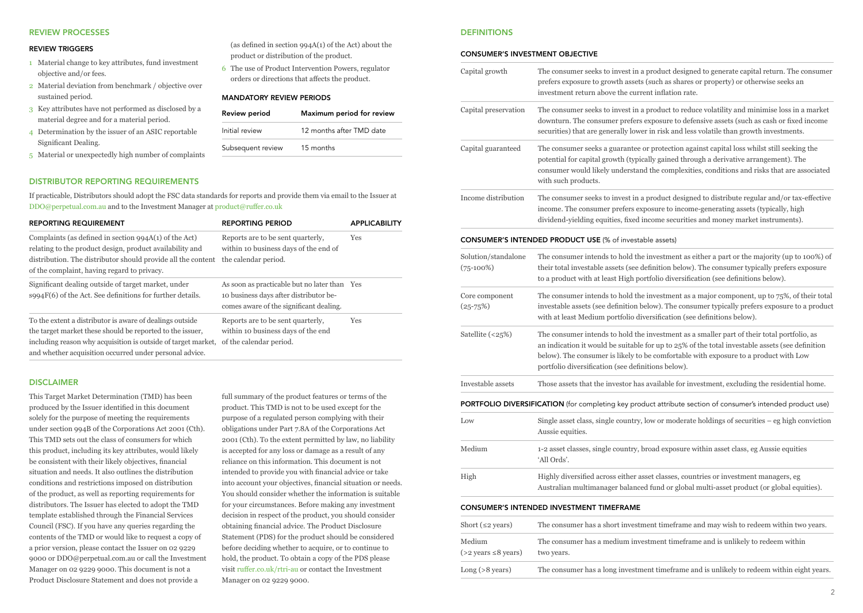#### REVIEW PROCESSES

#### REVIEW TRIGGERS

- 1 Material change to key attributes, fund investment objective and/or fees.
- 2 Material deviation from benchmark / objective over sustained period.
- 3 Key attributes have not performed as disclosed by a material degree and for a material period.
- 4 Determination by the issuer of an ASIC reportable Significant Dealing.
- 5 Material or unexpectedly high number of complaints

## DISTRIBUTOR REPORTING REQUIREMENTS

If practicable, Distributors should adopt the FSC data standards for reports and provide them via email to the Issuer at [DDO@perpetual.com.au](mailto:DDO%40perpetual.com.au?subject=) and to the Investment Manager at [product@ruffer.co.uk](mailto:product%40ruffer.co.uk?subject=)

| <b>REPORTING REQUIREMENT</b>                                                                                                                                                                                                                      | <b>REPORTING PERIOD</b>                                                                                                           | <b>APPLICABILITY</b> |
|---------------------------------------------------------------------------------------------------------------------------------------------------------------------------------------------------------------------------------------------------|-----------------------------------------------------------------------------------------------------------------------------------|----------------------|
| Complaints (as defined in section $994A(1)$ of the Act)<br>relating to the product design, product availability and<br>distribution. The distributor should provide all the content<br>of the complaint, having regard to privacy.                | Reports are to be sent quarterly,<br>within 10 business days of the end of<br>the calendar period.                                | Yes                  |
| Significant dealing outside of target market, under<br>$\text{S994F}(6)$ of the Act. See definitions for further details.                                                                                                                         | As soon as practicable but no later than Yes<br>10 business days after distributor be-<br>comes aware of the significant dealing. |                      |
| To the extent a distributor is aware of dealings outside<br>the target market these should be reported to the issuer,<br>including reason why acquisition is outside of target market,<br>and whether acquisition occurred under personal advice. | Reports are to be sent quarterly,<br>within 10 business days of the end<br>of the calendar period.                                | Yes                  |

# DISCLAIMER

This Target Market Determination (TMD) has been produced by the Issuer identified in this document solely for the purpose of meeting the requirements under section 994B of the Corporations Act 2001 (Cth). This TMD sets out the class of consumers for which this product, including its key attributes, would likely be consistent with their likely objectives, financial situation and needs. It also outlines the distribution conditions and restrictions imposed on distribution of the product, as well as reporting requirements for distributors. The Issuer has elected to adopt the TMD template established through the Financial Services Council (FSC). If you have any queries regarding the contents of the TMD or would like to request a copy of a prior version, please contact the Issuer on 02 9229 9000 or DDO@perpetual.com.au or call the Investment Manager on 02 9229 9000. This document is not a Product Disclosure Statement and does not provide a

full summary of the product features or terms of the product. This TMD is not to be used except for the purpose of a regulated person complying with their obligations under Part 7.8A of the Corporations Act 2001 (Cth). To the extent permitted by law, no liability is accepted for any loss or damage as a result of any reliance on this information. This document is not intended to provide you with financial advice or take into account your objectives, financial situation or needs. You should consider whether the information is suitable for your circumstances. Before making any investment decision in respect of the product, you should consider obtaining financial advice. The Product Disclosure Statement (PDS) for the product should be considered before deciding whether to acquire, or to continue to hold, the product. To obtain a copy of the PDS please visit [ruffer.co.uk/rtri-au](http://ruffer.co.uk/rtri-au) or contact the Investment Manager on 02 9229 9000.

(as defined in section 994A(1) of the Act) about the

Review period Maximum period for review Initial review 12 months after TMD date

product or distribution of the product. 6 The use of Product Intervention Powers, regulator orders or directions that affects the product.

MANDATORY REVIEW PERIODS

Subsequent review 15 months

#### **DEFINITIONS**

 $(>2$  years  $\leq 8$  years)

two years.

#### CONSUMER'S INVESTMENT OR JECTIVE

| Capital growth                     | The consumer seeks to invest in a product designed to generate capital return. The consumer<br>prefers exposure to growth assets (such as shares or property) or otherwise seeks an<br>investment return above the current inflation rate.                                                                                                  |
|------------------------------------|---------------------------------------------------------------------------------------------------------------------------------------------------------------------------------------------------------------------------------------------------------------------------------------------------------------------------------------------|
| Capital preservation               | The consumer seeks to invest in a product to reduce volatility and minimise loss in a market<br>downturn. The consumer prefers exposure to defensive assets (such as cash or fixed income<br>securities) that are generally lower in risk and less volatile than growth investments.                                                        |
| Capital guaranteed                 | The consumer seeks a guarantee or protection against capital loss whilst still seeking the<br>potential for capital growth (typically gained through a derivative arrangement). The<br>consumer would likely understand the complexities, conditions and risks that are associated<br>with such products.                                   |
| Income distribution                | The consumer seeks to invest in a product designed to distribute regular and/or tax-effective<br>income. The consumer prefers exposure to income-generating assets (typically, high<br>dividend-yielding equities, fixed income securities and money market instruments).                                                                   |
|                                    | <b>CONSUMER'S INTENDED PRODUCT USE (% of investable assets)</b>                                                                                                                                                                                                                                                                             |
| Solution/standalone<br>$(75-100%)$ | The consumer intends to hold the investment as either a part or the majority (up to 100%) of<br>their total investable assets (see definition below). The consumer typically prefers exposure<br>to a product with at least High portfolio diversification (see definitions below).                                                         |
| Core component<br>$(25 - 75%)$     | The consumer intends to hold the investment as a major component, up to $75\%$ , of their total<br>investable assets (see definition below). The consumer typically prefers exposure to a product<br>with at least Medium portfolio diversification (see definitions below).                                                                |
| Satellite (<25%)                   | The consumer intends to hold the investment as a smaller part of their total portfolio, as<br>an indication it would be suitable for up to 25% of the total investable assets (see definition<br>below). The consumer is likely to be comfortable with exposure to a product with Low<br>portfolio diversification (see definitions below). |
| Investable assets                  | Those assets that the investor has available for investment, excluding the residential home.                                                                                                                                                                                                                                                |
|                                    | <b>PORTFOLIO DIVERSIFICATION</b> (for completing key product attribute section of consumer's intended product use)                                                                                                                                                                                                                          |
| Low                                | Single asset class, single country, low or moderate holdings of securities $-$ eg high conviction<br>Aussie equities.                                                                                                                                                                                                                       |
| Medium                             | 1-2 asset classes, single country, broad exposure within asset class, eg Aussie equities<br>'All Ords'.                                                                                                                                                                                                                                     |
| High                               | Highly diversified across either asset classes, countries or investment managers, eg<br>Australian multimanager balanced fund or global multi-asset product (or global equities).                                                                                                                                                           |
|                                    | <b>CONSUMER'S INTENDED INVESTMENT TIMEFRAME</b>                                                                                                                                                                                                                                                                                             |
| Short ( $\leq$ 2 years)            | The consumer has a short investment timeframe and may wish to redeem within two years.                                                                                                                                                                                                                                                      |
| Medium                             | The consumer has a medium investment timeframe and is unlikely to redeem within                                                                                                                                                                                                                                                             |

| $Long (>8 \text{ years})$ | The consumer has a long investment time frame and is unlikely to redeem within eight years. |
|---------------------------|---------------------------------------------------------------------------------------------|
|                           |                                                                                             |